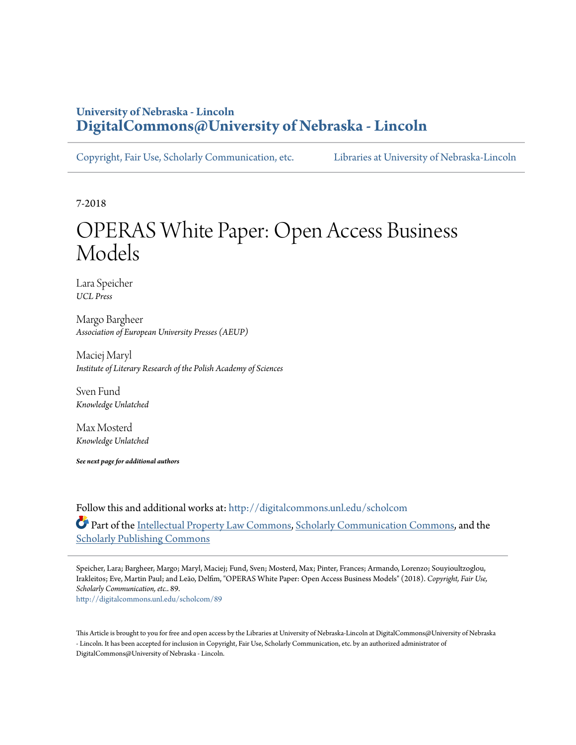# **University of Nebraska - Lincoln [DigitalCommons@University of Nebraska - Lincoln](http://digitalcommons.unl.edu?utm_source=digitalcommons.unl.edu%2Fscholcom%2F89&utm_medium=PDF&utm_campaign=PDFCoverPages)**

[Copyright, Fair Use, Scholarly Communication, etc.](http://digitalcommons.unl.edu/scholcom?utm_source=digitalcommons.unl.edu%2Fscholcom%2F89&utm_medium=PDF&utm_campaign=PDFCoverPages) [Libraries at University of Nebraska-Lincoln](http://digitalcommons.unl.edu/libraries?utm_source=digitalcommons.unl.edu%2Fscholcom%2F89&utm_medium=PDF&utm_campaign=PDFCoverPages)

7-2018

# OPERAS White Paper: Open Access Business Models

Lara Speicher *UCL Press*

Margo Bargheer *Association of European University Presses (AEUP)*

Maciej Maryl *Institute of Literary Research of the Polish Academy of Sciences*

Sven Fund *Knowledge Unlatched*

Max Mosterd *Knowledge Unlatched*

*See next page for additional authors*

Follow this and additional works at: [http://digitalcommons.unl.edu/scholcom](http://digitalcommons.unl.edu/scholcom?utm_source=digitalcommons.unl.edu%2Fscholcom%2F89&utm_medium=PDF&utm_campaign=PDFCoverPages) Part of the [Intellectual Property Law Commons,](http://network.bepress.com/hgg/discipline/896?utm_source=digitalcommons.unl.edu%2Fscholcom%2F89&utm_medium=PDF&utm_campaign=PDFCoverPages) [Scholarly Communication Commons,](http://network.bepress.com/hgg/discipline/1272?utm_source=digitalcommons.unl.edu%2Fscholcom%2F89&utm_medium=PDF&utm_campaign=PDFCoverPages) and the [Scholarly Publishing Commons](http://network.bepress.com/hgg/discipline/1273?utm_source=digitalcommons.unl.edu%2Fscholcom%2F89&utm_medium=PDF&utm_campaign=PDFCoverPages)

Speicher, Lara; Bargheer, Margo; Maryl, Maciej; Fund, Sven; Mosterd, Max; Pinter, Frances; Armando, Lorenzo; Souyioultzoglou, Irakleitos; Eve, Martin Paul; and Leão, Delfim, "OPERAS White Paper: Open Access Business Models" (2018). *Copyright, Fair Use, Scholarly Communication, etc.*. 89. [http://digitalcommons.unl.edu/scholcom/89](http://digitalcommons.unl.edu/scholcom/89?utm_source=digitalcommons.unl.edu%2Fscholcom%2F89&utm_medium=PDF&utm_campaign=PDFCoverPages)

This Article is brought to you for free and open access by the Libraries at University of Nebraska-Lincoln at DigitalCommons@University of Nebraska - Lincoln. It has been accepted for inclusion in Copyright, Fair Use, Scholarly Communication, etc. by an authorized administrator of DigitalCommons@University of Nebraska - Lincoln.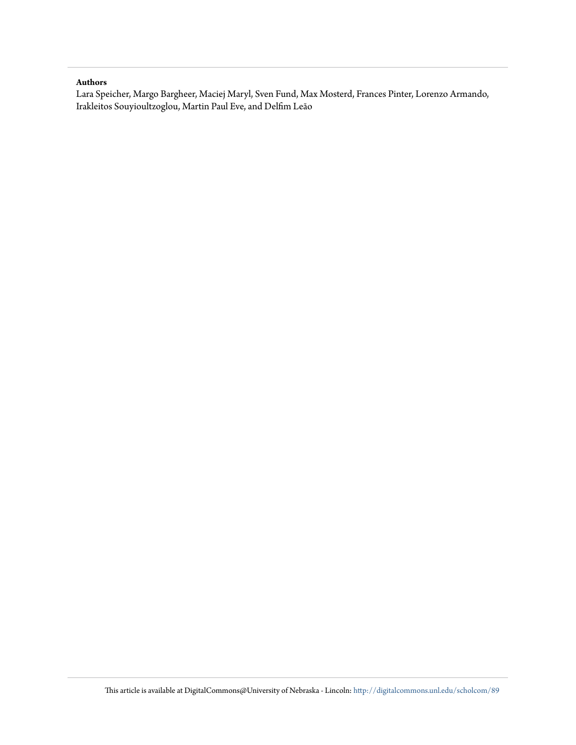#### **Authors**

Lara Speicher, Margo Bargheer, Maciej Maryl, Sven Fund, Max Mosterd, Frances Pinter, Lorenzo Armando, Irakleitos Souyioultzoglou, Martin Paul Eve, and Delfim Leão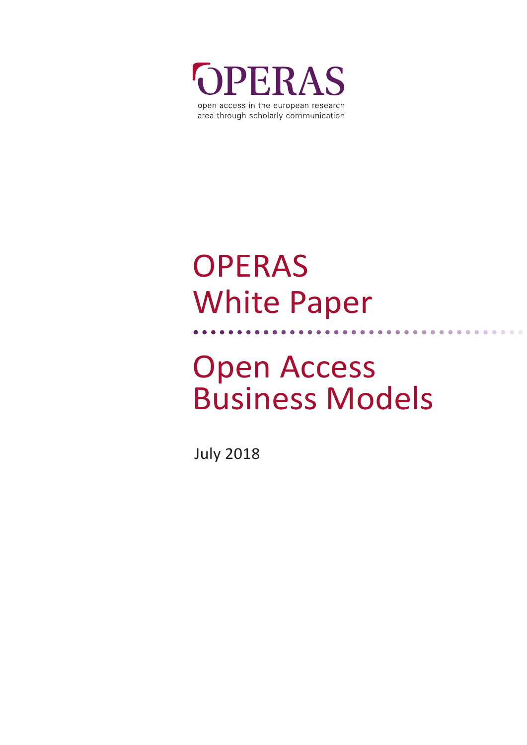

# OPERAS White Paper

# Open Access Business Models

July 2018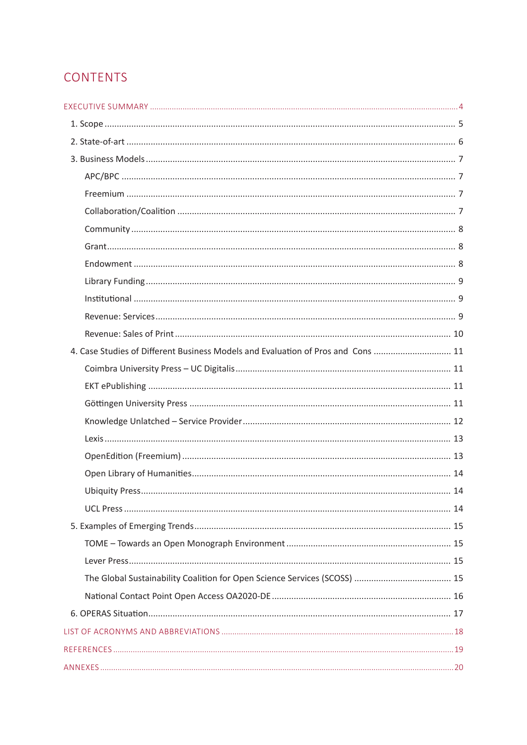# CONTENTS

| 10.http://www.archive.com/www.archive.com/www.archive.com/www.archive.com/www.archive.com/www.archive.com/www. |  |
|----------------------------------------------------------------------------------------------------------------|--|
|                                                                                                                |  |
|                                                                                                                |  |
| 4. Case Studies of Different Business Models and Evaluation of Pros and Cons  11                               |  |
|                                                                                                                |  |
|                                                                                                                |  |
|                                                                                                                |  |
|                                                                                                                |  |
|                                                                                                                |  |
|                                                                                                                |  |
|                                                                                                                |  |
|                                                                                                                |  |
|                                                                                                                |  |
|                                                                                                                |  |
|                                                                                                                |  |
|                                                                                                                |  |
|                                                                                                                |  |
|                                                                                                                |  |
|                                                                                                                |  |
|                                                                                                                |  |
|                                                                                                                |  |
|                                                                                                                |  |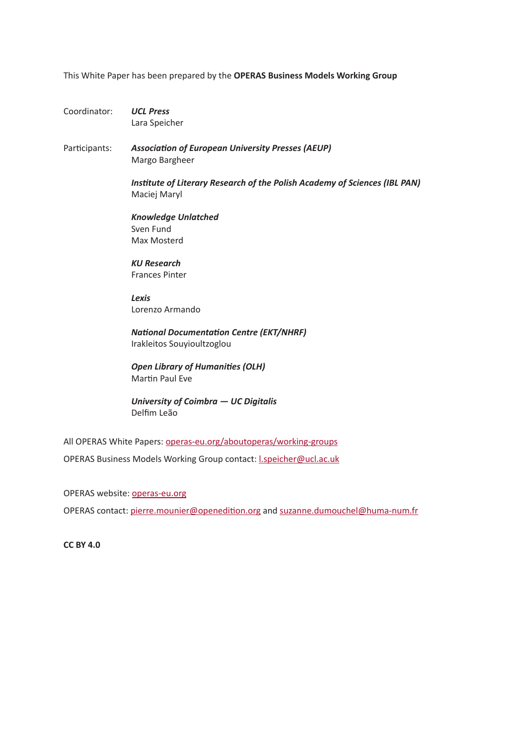This White Paper has been prepared by the **OPERAS Business Models Working Group**

Coordinator: *UCL Press* Lara Speicher

Participants: *Association of European University Presses (AEUP)* Margo Bargheer

> *Institute of Literary Research of the Polish Academy of Sciences (IBL PAN)* Maciej Maryl

*Knowledge Unlatched* Sven Fund Max Mosterd

*KU Research* Frances Pinter

*Lexis* Lorenzo Armando

*National Documentation Centre (EKT/NHRF)* Irakleitos Souyioultzoglou

*Open Library of Humanities (OLH)* Martin Paul Eve

*University of Coimbra — UC Digitalis* Delfim Leão

All OPERAS White Papers: [operas-eu.org/aboutoperas/working-groups](http://operas-eu.org/aboutoperas/working-groups) OPERAS Business Models Working Group contact: [l.speicher@ucl.ac.uk](mailto:l.speicher%40ucl.ac.uk?subject=)

OPERAS website: [operas-eu.org](http://operas-eu.org)

OPERAS contact: [pierre.mounier@openedition.org](mailto:pierre.mounier%40openedition.org?subject=) and [suzanne.dumouchel@huma-num.fr](mailto:suzanne.dumouchel%40huma-num.fr?subject=)

**CC BY 4.0**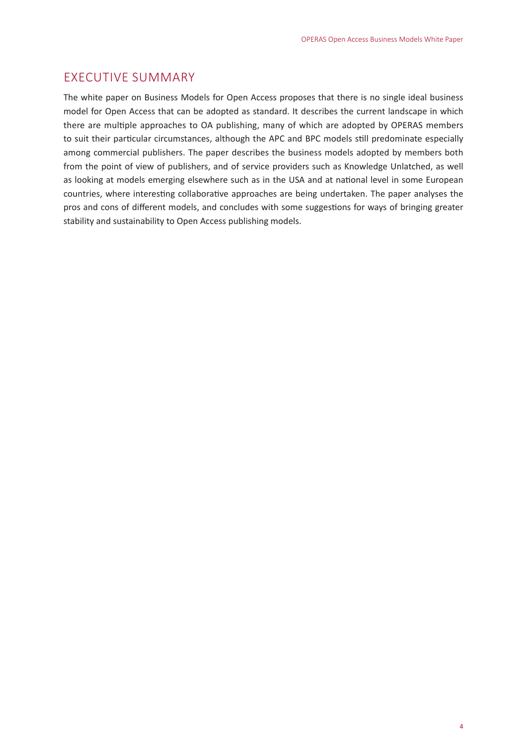# <span id="page-5-0"></span>EXECUTIVE SUMMARY

The white paper on Business Models for Open Access proposes that there is no single ideal business model for Open Access that can be adopted as standard. It describes the current landscape in which there are multiple approaches to OA publishing, many of which are adopted by OPERAS members to suit their particular circumstances, although the APC and BPC models still predominate especially among commercial publishers. The paper describes the business models adopted by members both from the point of view of publishers, and of service providers such as Knowledge Unlatched, as well as looking at models emerging elsewhere such as in the USA and at national level in some European countries, where interesting collaborative approaches are being undertaken. The paper analyses the pros and cons of different models, and concludes with some suggestions for ways of bringing greater stability and sustainability to Open Access publishing models.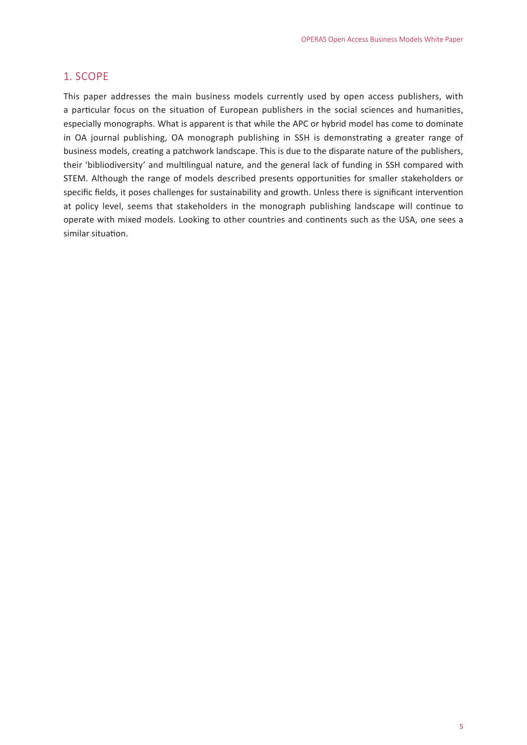#### <span id="page-6-0"></span>1. SCOPE

This paper addresses the main business models currently used by open access publishers, with a particular focus on the situation of European publishers in the social sciences and humanities, especially monographs. What is apparent is that while the APC or hybrid model has come to dominate in OA journal publishing, OA monograph publishing in SSH is demonstrating a greater range of business models, creating a patchwork landscape. This is due to the disparate nature of the publishers, their 'bibliodiversity' and multilingual nature, and the general lack of funding in SSH compared with STEM. Although the range of models described presents opportunities for smaller stakeholders or specific fields, it poses challenges for sustainability and growth. Unless there is significant intervention at policy level, seems that stakeholders in the monograph publishing landscape will continue to operate with mixed models. Looking to other countries and continents such as the USA, one sees a similar situation.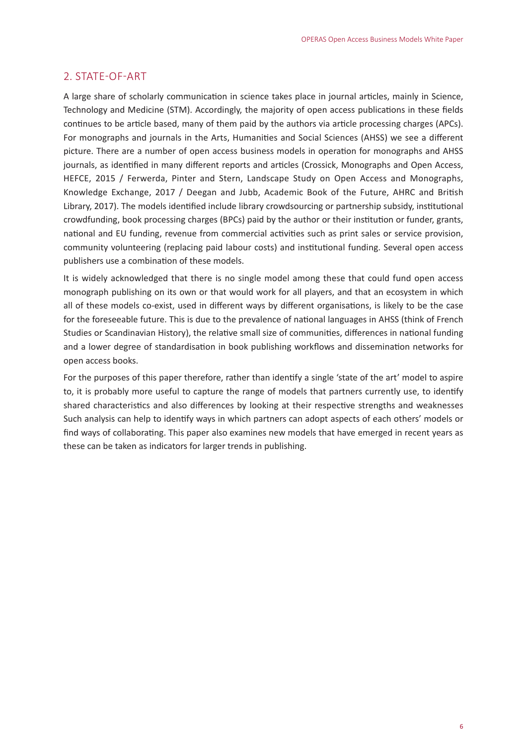#### <span id="page-7-0"></span>2. STATE-OF-ART

A large share of scholarly communication in science takes place in journal articles, mainly in Science, Technology and Medicine (STM). Accordingly, the majority of open access publications in these fields continues to be article based, many of them paid by the authors via article processing charges (APCs). For monographs and journals in the Arts, Humanities and Social Sciences (AHSS) we see a different picture. There are a number of open access business models in operation for monographs and AHSS journals, as identified in many different reports and articles (Crossick, Monographs and Open Access, HEFCE, 2015 / Ferwerda, Pinter and Stern, Landscape Study on Open Access and Monographs, Knowledge Exchange, 2017 / Deegan and Jubb, Academic Book of the Future, AHRC and British Library, 2017). The models identified include library crowdsourcing or partnership subsidy, institutional crowdfunding, book processing charges (BPCs) paid by the author or their institution or funder, grants, national and EU funding, revenue from commercial activities such as print sales or service provision, community volunteering (replacing paid labour costs) and institutional funding. Several open access publishers use a combination of these models.

It is widely acknowledged that there is no single model among these that could fund open access monograph publishing on its own or that would work for all players, and that an ecosystem in which all of these models co-exist, used in different ways by different organisations, is likely to be the case for the foreseeable future. This is due to the prevalence of national languages in AHSS (think of French Studies or Scandinavian History), the relative small size of communities, differences in national funding and a lower degree of standardisation in book publishing workflows and dissemination networks for open access books.

For the purposes of this paper therefore, rather than identify a single 'state of the art' model to aspire to, it is probably more useful to capture the range of models that partners currently use, to identify shared characteristics and also differences by looking at their respective strengths and weaknesses Such analysis can help to identify ways in which partners can adopt aspects of each others' models or find ways of collaborating. This paper also examines new models that have emerged in recent years as these can be taken as indicators for larger trends in publishing.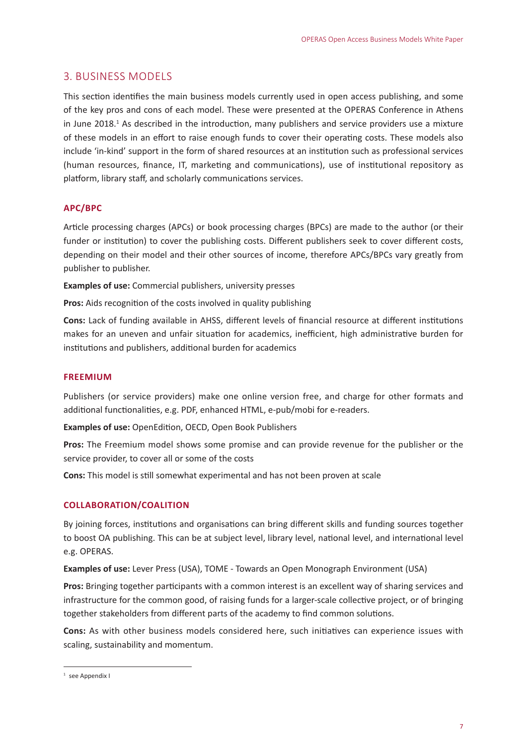#### <span id="page-8-0"></span>3. BUSINESS MODELS

This section identifies the main business models currently used in open access publishing, and some of the key pros and cons of each model. These were presented at the OPERAS Conference in Athens in June 2018.<sup>1</sup> As described in the introduction, many publishers and service providers use a mixture of these models in an effort to raise enough funds to cover their operating costs. These models also include 'in-kind' support in the form of shared resources at an institution such as professional services (human resources, finance, IT, marketing and communications), use of institutional repository as platform, library staff, and scholarly communications services.

#### **APC/BPC**

Article processing charges (APCs) or book processing charges (BPCs) are made to the author (or their funder or institution) to cover the publishing costs. Different publishers seek to cover different costs, depending on their model and their other sources of income, therefore APCs/BPCs vary greatly from publisher to publisher.

**Examples of use:** Commercial publishers, university presses

**Pros:** Aids recognition of the costs involved in quality publishing

**Cons:** Lack of funding available in AHSS, different levels of financial resource at different institutions makes for an uneven and unfair situation for academics, inefficient, high administrative burden for institutions and publishers, additional burden for academics

#### **FREEMIUM**

Publishers (or service providers) make one online version free, and charge for other formats and additional functionalities, e.g. PDF, enhanced HTML, e-pub/mobi for e-readers.

**Examples of use:** OpenEdition, OECD, Open Book Publishers

**Pros:** The Freemium model shows some promise and can provide revenue for the publisher or the service provider, to cover all or some of the costs

**Cons:** This model is still somewhat experimental and has not been proven at scale

#### **COLLABORATION/COALITION**

By joining forces, institutions and organisations can bring different skills and funding sources together to boost OA publishing. This can be at subject level, library level, national level, and international level e.g. OPERAS.

**Examples of use:** Lever Press (USA), TOME - Towards an Open Monograph Environment (USA)

**Pros:** Bringing together participants with a common interest is an excellent way of sharing services and infrastructure for the common good, of raising funds for a larger-scale collective project, or of bringing together stakeholders from different parts of the academy to find common solutions.

**Cons:** As with other business models considered here, such initiatives can experience issues with scaling, sustainability and momentum.

<sup>1</sup> see Appendix I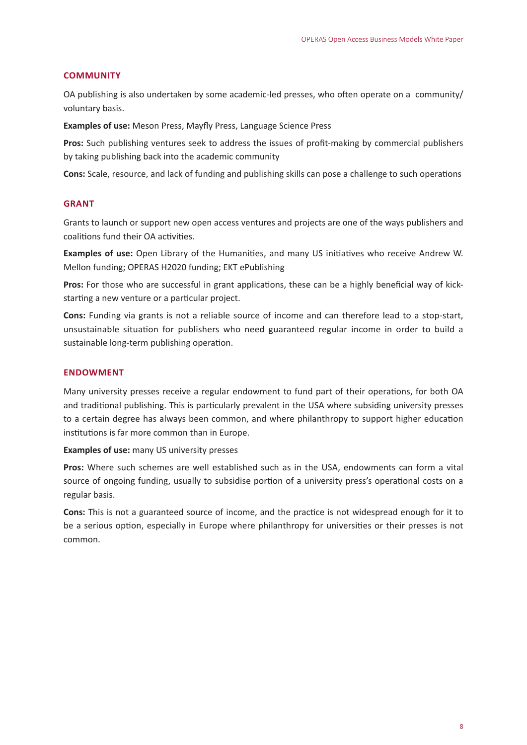#### <span id="page-9-0"></span>**COMMUNITY**

OA publishing is also undertaken by some academic-led presses, who often operate on a community/ voluntary basis.

**Examples of use:** Meson Press, Mayfly Press, Language Science Press

**Pros:** Such publishing ventures seek to address the issues of profit-making by commercial publishers by taking publishing back into the academic community

**Cons:** Scale, resource, and lack of funding and publishing skills can pose a challenge to such operations

#### **GRANT**

Grants to launch or support new open access ventures and projects are one of the ways publishers and coalitions fund their OA activities.

**Examples of use:** Open Library of the Humanities, and many US initiatives who receive Andrew W. Mellon funding; OPERAS H2020 funding; ΕΚΤ ePublishing

Pros: For those who are successful in grant applications, these can be a highly beneficial way of kickstarting a new venture or a particular project.

**Cons:** Funding via grants is not a reliable source of income and can therefore lead to a stop-start, unsustainable situation for publishers who need guaranteed regular income in order to build a sustainable long-term publishing operation.

#### **ENDOWMENT**

Many university presses receive a regular endowment to fund part of their operations, for both OA and traditional publishing. This is particularly prevalent in the USA where subsiding university presses to a certain degree has always been common, and where philanthropy to support higher education institutions is far more common than in Europe.

**Examples of use:** many US university presses

**Pros:** Where such schemes are well established such as in the USA, endowments can form a vital source of ongoing funding, usually to subsidise portion of a university press's operational costs on a regular basis.

**Cons:** This is not a guaranteed source of income, and the practice is not widespread enough for it to be a serious option, especially in Europe where philanthropy for universities or their presses is not common.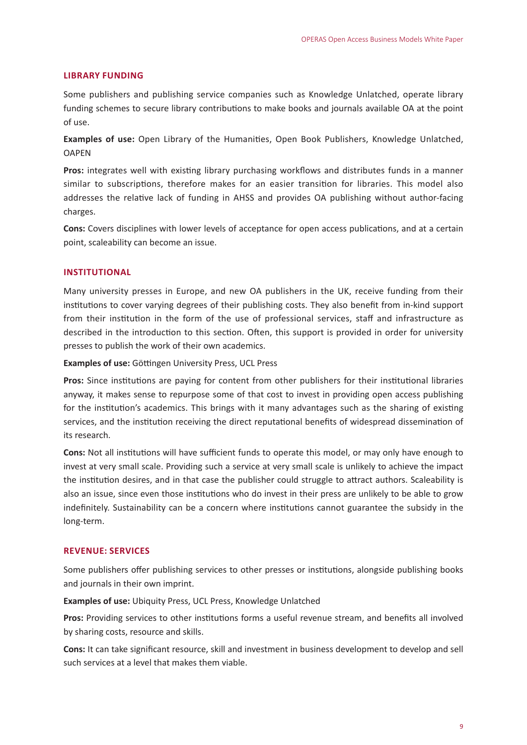#### <span id="page-10-0"></span>**LIBRARY FUNDING**

Some publishers and publishing service companies such as Knowledge Unlatched, operate library funding schemes to secure library contributions to make books and journals available OA at the point of use.

**Examples of use:** Open Library of the Humanities, Open Book Publishers, Knowledge Unlatched, **OAPFN** 

Pros: integrates well with existing library purchasing workflows and distributes funds in a manner similar to subscriptions, therefore makes for an easier transition for libraries. This model also addresses the relative lack of funding in AHSS and provides OA publishing without author-facing charges.

**Cons:** Covers disciplines with lower levels of acceptance for open access publications, and at a certain point, scaleability can become an issue.

#### **INSTITUTIONAL**

Many university presses in Europe, and new OA publishers in the UK, receive funding from their institutions to cover varying degrees of their publishing costs. They also benefit from in-kind support from their institution in the form of the use of professional services, staff and infrastructure as described in the introduction to this section. Often, this support is provided in order for university presses to publish the work of their own academics.

**Examples of use:** Göttingen University Press, UCL Press

**Pros:** Since institutions are paying for content from other publishers for their institutional libraries anyway, it makes sense to repurpose some of that cost to invest in providing open access publishing for the institution's academics. This brings with it many advantages such as the sharing of existing services, and the institution receiving the direct reputational benefits of widespread dissemination of its research.

**Cons:** Not all institutions will have sufficient funds to operate this model, or may only have enough to invest at very small scale. Providing such a service at very small scale is unlikely to achieve the impact the institution desires, and in that case the publisher could struggle to attract authors. Scaleability is also an issue, since even those institutions who do invest in their press are unlikely to be able to grow indefinitely. Sustainability can be a concern where institutions cannot guarantee the subsidy in the long-term.

#### **REVENUE: SERVICES**

Some publishers offer publishing services to other presses or institutions, alongside publishing books and journals in their own imprint.

**Examples of use:** Ubiquity Press, UCL Press, Knowledge Unlatched

**Pros:** Providing services to other institutions forms a useful revenue stream, and benefits all involved by sharing costs, resource and skills.

**Cons:** It can take significant resource, skill and investment in business development to develop and sell such services at a level that makes them viable.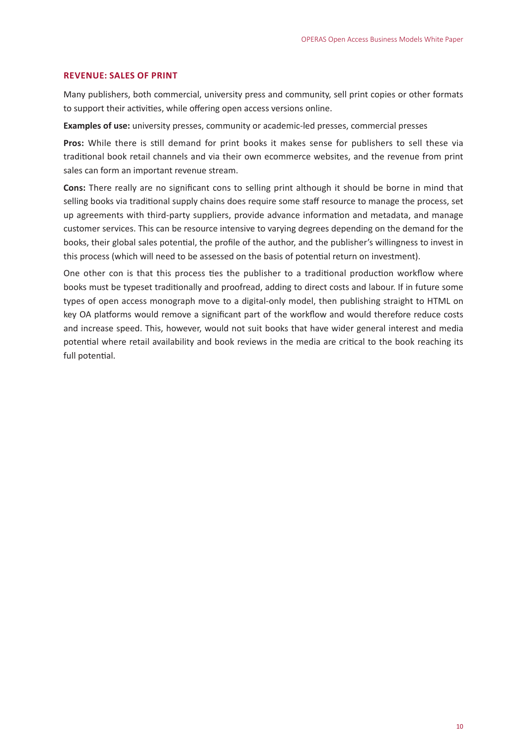#### <span id="page-11-0"></span>**REVENUE: SALES OF PRINT**

Many publishers, both commercial, university press and community, sell print copies or other formats to support their activities, while offering open access versions online.

**Examples of use:** university presses, community or academic-led presses, commercial presses

**Pros:** While there is still demand for print books it makes sense for publishers to sell these via traditional book retail channels and via their own ecommerce websites, and the revenue from print sales can form an important revenue stream.

**Cons:** There really are no significant cons to selling print although it should be borne in mind that selling books via traditional supply chains does require some staff resource to manage the process, set up agreements with third-party suppliers, provide advance information and metadata, and manage customer services. This can be resource intensive to varying degrees depending on the demand for the books, their global sales potential, the profile of the author, and the publisher's willingness to invest in this process (which will need to be assessed on the basis of potential return on investment).

One other con is that this process ties the publisher to a traditional production workflow where books must be typeset traditionally and proofread, adding to direct costs and labour. If in future some types of open access monograph move to a digital-only model, then publishing straight to HTML on key OA platforms would remove a significant part of the workflow and would therefore reduce costs and increase speed. This, however, would not suit books that have wider general interest and media potential where retail availability and book reviews in the media are critical to the book reaching its full potential.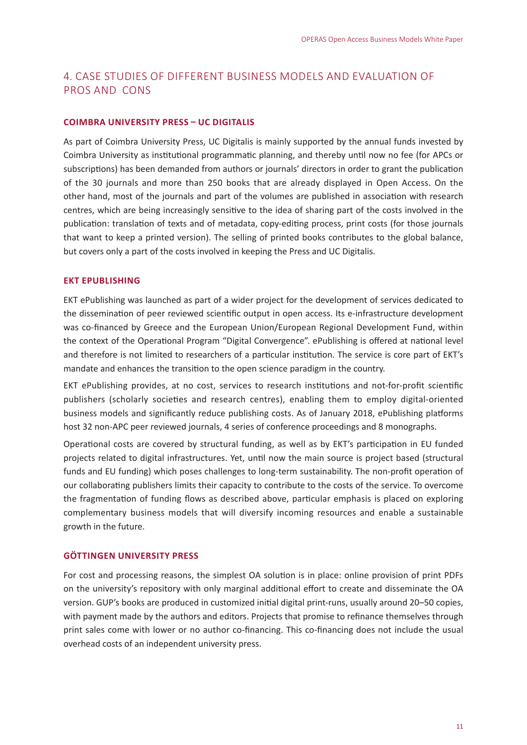## <span id="page-12-0"></span>4. CASE STUDIES OF DIFFERENT BUSINESS MODELS AND EVALUATION OF PROS AND CONS

#### **COIMBRA UNIVERSITY PRESS – UC DIGITALIS**

As part of Coimbra University Press, UC Digitalis is mainly supported by the annual funds invested by Coimbra University as institutional programmatic planning, and thereby until now no fee (for APCs or subscriptions) has been demanded from authors or journals' directors in order to grant the publication of the 30 journals and more than 250 books that are already displayed in Open Access. On the other hand, most of the journals and part of the volumes are published in association with research centres, which are being increasingly sensitive to the idea of sharing part of the costs involved in the publication: translation of texts and of metadata, copy-editing process, print costs (for those journals that want to keep a printed version). The selling of printed books contributes to the global balance, but covers only a part of the costs involved in keeping the Press and UC Digitalis.

#### **EKT EPUBLISHING**

EKT ePublishing was launched as part of a wider project for the development of services dedicated to the dissemination of peer reviewed scientific output in open access. Its e-infrastructure development was co-financed by Greece and the European Union/European Regional Development Fund, within the context of the Operational Program "Digital Convergence". ePublishing is offered at national level and therefore is not limited to researchers of a particular institution. The service is core part of EKT's mandate and enhances the transition to the open science paradigm in the country.

EΚΤ ePublishing provides, at no cost, services to research institutions and not-for-profit scientific publishers (scholarly societies and research centres), enabling them to employ digital-oriented business models and significantly reduce publishing costs. As of January 2018, ePublishing platforms host 32 non-APC peer reviewed journals, 4 series of conference proceedings and 8 monographs.

Operational costs are covered by structural funding, as well as by EKT's participation in EU funded projects related to digital infrastructures. Yet, until now the main source is project based (structural funds and EU funding) which poses challenges to long-term sustainability. The non-profit operation of our collaborating publishers limits their capacity to contribute to the costs of the service. To overcome the fragmentation of funding flows as described above, particular emphasis is placed on exploring complementary business models that will diversify incoming resources and enable a sustainable growth in the future.

#### **GÖTTINGEN UNIVERSITY PRESS**

For cost and processing reasons, the simplest OA solution is in place: online provision of print PDFs on the university's repository with only marginal additional effort to create and disseminate the OA version. GUP's books are produced in customized initial digital print-runs, usually around 20–50 copies, with payment made by the authors and editors. Projects that promise to refinance themselves through print sales come with lower or no author co-financing. This co-financing does not include the usual overhead costs of an independent university press.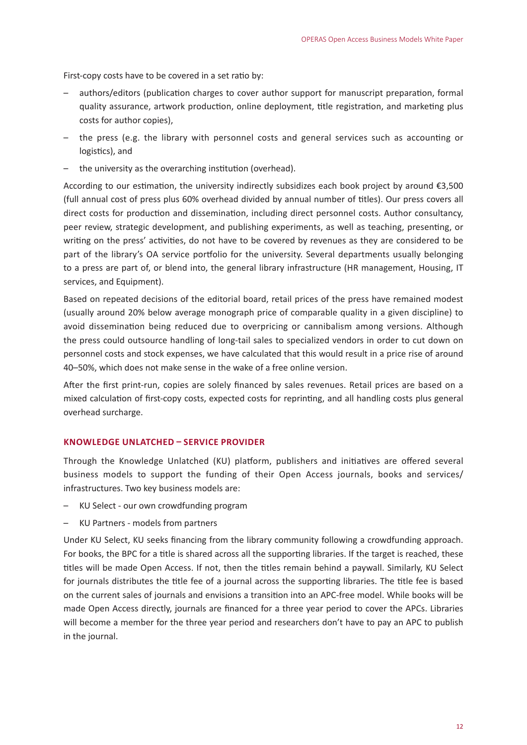<span id="page-13-0"></span>First-copy costs have to be covered in a set ratio by:

- authors/editors (publication charges to cover author support for manuscript preparation, formal quality assurance, artwork production, online deployment, title registration, and marketing plus costs for author copies),
- the press (e.g. the library with personnel costs and general services such as accounting or logistics), and
- the university as the overarching institution (overhead).

According to our estimation, the university indirectly subsidizes each book project by around €3,500 (full annual cost of press plus 60% overhead divided by annual number of titles). Our press covers all direct costs for production and dissemination, including direct personnel costs. Author consultancy, peer review, strategic development, and publishing experiments, as well as teaching, presenting, or writing on the press' activities, do not have to be covered by revenues as they are considered to be part of the library's OA service portfolio for the university. Several departments usually belonging to a press are part of, or blend into, the general library infrastructure (HR management, Housing, IT services, and Equipment).

Based on repeated decisions of the editorial board, retail prices of the press have remained modest (usually around 20% below average monograph price of comparable quality in a given discipline) to avoid dissemination being reduced due to overpricing or cannibalism among versions. Although the press could outsource handling of long-tail sales to specialized vendors in order to cut down on personnel costs and stock expenses, we have calculated that this would result in a price rise of around 40–50%, which does not make sense in the wake of a free online version.

After the first print-run, copies are solely financed by sales revenues. Retail prices are based on a mixed calculation of first-copy costs, expected costs for reprinting, and all handling costs plus general overhead surcharge.

#### **KNOWLEDGE UNLATCHED – SERVICE PROVIDER**

Through the Knowledge Unlatched (KU) platform, publishers and initiatives are offered several business models to support the funding of their Open Access journals, books and services/ infrastructures. Two key business models are:

- KU Select our own crowdfunding program
- KU Partners models from partners

Under KU Select, KU seeks financing from the library community following a crowdfunding approach. For books, the BPC for a title is shared across all the supporting libraries. If the target is reached, these titles will be made Open Access. If not, then the titles remain behind a paywall. Similarly, KU Select for journals distributes the title fee of a journal across the supporting libraries. The title fee is based on the current sales of journals and envisions a transition into an APC-free model. While books will be made Open Access directly, journals are financed for a three year period to cover the APCs. Libraries will become a member for the three year period and researchers don't have to pay an APC to publish in the journal.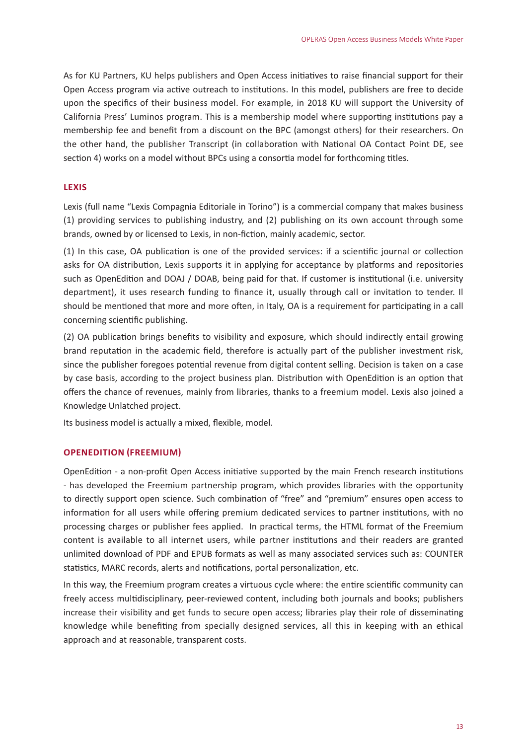<span id="page-14-0"></span>As for KU Partners, KU helps publishers and Open Access initiatives to raise financial support for their Open Access program via active outreach to institutions. In this model, publishers are free to decide upon the specifics of their business model. For example, in 2018 KU will support the University of California Press' Luminos program. This is a membership model where supporting institutions pay a membership fee and benefit from a discount on the BPC (amongst others) for their researchers. On the other hand, the publisher Transcript (in collaboration with National OA Contact Point DE, see section 4) works on a model without BPCs using a consortia model for forthcoming titles.

#### **LEXIS**

Lexis (full name "Lexis Compagnia Editoriale in Torino") is a commercial company that makes business (1) providing services to publishing industry, and (2) publishing on its own account through some brands, owned by or licensed to Lexis, in non-fiction, mainly academic, sector.

(1) In this case, OA publication is one of the provided services: if a scientific journal or collection asks for OA distribution, Lexis supports it in applying for acceptance by platforms and repositories such as OpenEdition and DOAJ / DOAB, being paid for that. If customer is institutional (i.e. university department), it uses research funding to finance it, usually through call or invitation to tender. Il should be mentioned that more and more often, in Italy, OA is a requirement for participating in a call concerning scientific publishing.

(2) OA publication brings benefits to visibility and exposure, which should indirectly entail growing brand reputation in the academic field, therefore is actually part of the publisher investment risk, since the publisher foregoes potential revenue from digital content selling. Decision is taken on a case by case basis, according to the project business plan. Distribution with OpenEdition is an option that offers the chance of revenues, mainly from libraries, thanks to a freemium model. Lexis also joined a Knowledge Unlatched project.

Its business model is actually a mixed, flexible, model.

#### **OPENEDITION (FREEMIUM)**

OpenEdition - a non-profit Open Access initiative supported by the main French research institutions - has developed the Freemium partnership program, which provides libraries with the opportunity to directly support open science. Such combination of "free" and "premium" ensures open access to information for all users while offering premium dedicated services to partner institutions, with no processing charges or publisher fees applied. In practical terms, the HTML format of the Freemium content is available to all internet users, while partner institutions and their readers are granted unlimited download of PDF and EPUB formats as well as many associated services such as: COUNTER statistics, MARC records, alerts and notifications, portal personalization, etc.

In this way, the Freemium program creates a virtuous cycle where: the entire scientific community can freely access multidisciplinary, peer-reviewed content, including both journals and books; publishers increase their visibility and get funds to secure open access; libraries play their role of disseminating knowledge while benefiting from specially designed services, all this in keeping with an ethical approach and at reasonable, transparent costs.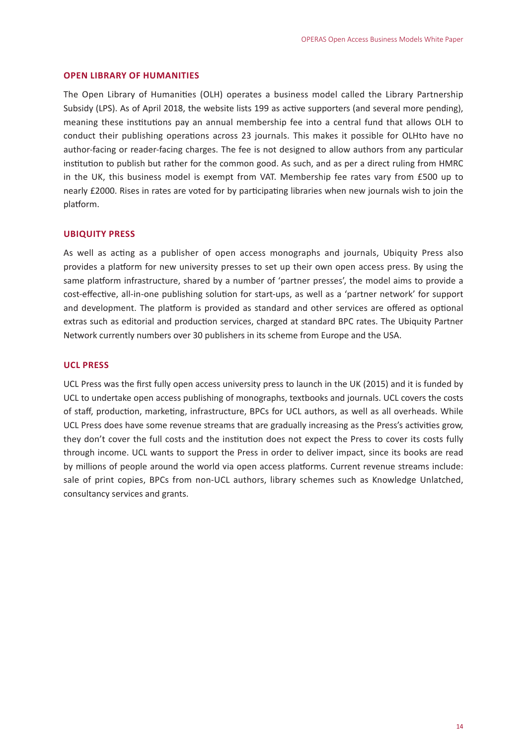#### <span id="page-15-0"></span>**OPEN LIBRARY OF HUMANITIES**

The Open Library of Humanities (OLH) operates a business model called the Library Partnership Subsidy (LPS). As of April 2018, the website lists 199 as active supporters (and several more pending), meaning these institutions pay an annual membership fee into a central fund that allows OLH to conduct their publishing operations across 23 journals. This makes it possible for OLHto have no author-facing or reader-facing charges. The fee is not designed to allow authors from any particular institution to publish but rather for the common good. As such, and as per a direct ruling from HMRC in the UK, this business model is exempt from VAT. Membership fee rates vary from £500 up to nearly £2000. Rises in rates are voted for by participating libraries when new journals wish to join the platform.

#### **UBIQUITY PRESS**

As well as acting as a publisher of open access monographs and journals, Ubiquity Press also provides a platform for new university presses to set up their own open access press. By using the same platform infrastructure, shared by a number of 'partner presses', the model aims to provide a cost-effective, all-in-one publishing solution for start-ups, as well as a 'partner network' for support and development. The platform is provided as standard and other services are offered as optional extras such as editorial and production services, charged at standard BPC rates. The Ubiquity Partner Network currently numbers over 30 publishers in its scheme from Europe and the USA.

#### **UCL PRESS**

UCL Press was the first fully open access university press to launch in the UK (2015) and it is funded by UCL to undertake open access publishing of monographs, textbooks and journals. UCL covers the costs of staff, production, marketing, infrastructure, BPCs for UCL authors, as well as all overheads. While UCL Press does have some revenue streams that are gradually increasing as the Press's activities grow, they don't cover the full costs and the institution does not expect the Press to cover its costs fully through income. UCL wants to support the Press in order to deliver impact, since its books are read by millions of people around the world via open access platforms. Current revenue streams include: sale of print copies, BPCs from non-UCL authors, library schemes such as Knowledge Unlatched, consultancy services and grants.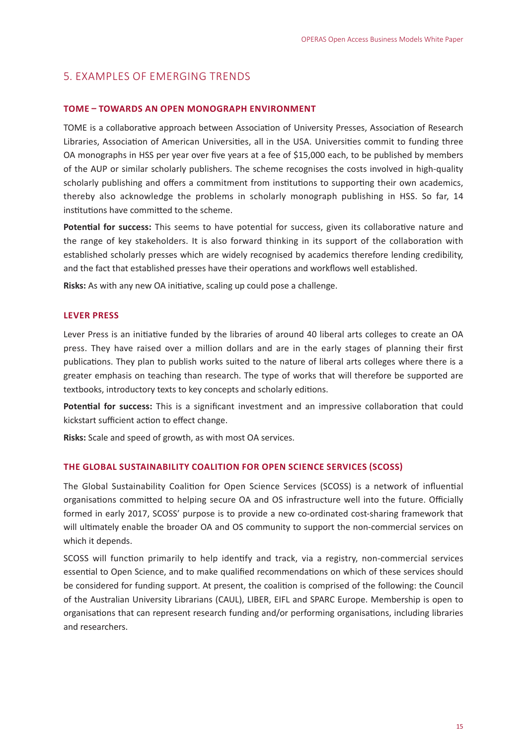## <span id="page-16-0"></span>5. EXAMPLES OF EMERGING TRENDS

#### **TOME – TOWARDS AN OPEN MONOGRAPH ENVIRONMENT**

TOME is a collaborative approach between Association of University Presses, Association of Research Libraries, Association of American Universities, all in the USA. Universities commit to funding three OA monographs in HSS per year over five years at a fee of \$15,000 each, to be published by members of the AUP or similar scholarly publishers. The scheme recognises the costs involved in high-quality scholarly publishing and offers a commitment from institutions to supporting their own academics, thereby also acknowledge the problems in scholarly monograph publishing in HSS. So far, 14 institutions have committed to the scheme.

**Potential for success:** This seems to have potential for success, given its collaborative nature and the range of key stakeholders. It is also forward thinking in its support of the collaboration with established scholarly presses which are widely recognised by academics therefore lending credibility, and the fact that established presses have their operations and workflows well established.

**Risks:** As with any new OA initiative, scaling up could pose a challenge.

#### **LEVER PRESS**

Lever Press is an initiative funded by the libraries of around 40 liberal arts colleges to create an OA press. They have raised over a million dollars and are in the early stages of planning their first publications. They plan to publish works suited to the nature of liberal arts colleges where there is a greater emphasis on teaching than research. The type of works that will therefore be supported are textbooks, introductory texts to key concepts and scholarly editions.

**Potential for success:** This is a significant investment and an impressive collaboration that could kickstart sufficient action to effect change.

**Risks:** Scale and speed of growth, as with most OA services.

#### **THE GLOBAL SUSTAINABILITY COALITION FOR OPEN SCIENCE SERVICES (SCOSS)**

The Global Sustainability Coalition for Open Science Services (SCOSS) is a network of influential organisations committed to helping secure OA and OS infrastructure well into the future. Officially formed in early 2017, SCOSS' purpose is to provide a new co-ordinated cost-sharing framework that will ultimately enable the broader OA and OS community to support the non-commercial services on which it depends.

SCOSS will function primarily to help identify and track, via a registry, non-commercial services essential to Open Science, and to make qualified recommendations on which of these services should be considered for funding support. At present, the coalition is comprised of the following: the Council of the Australian University Librarians (CAUL), LIBER, EIFL and SPARC Europe. Membership is open to organisations that can represent research funding and/or performing organisations, including libraries and researchers.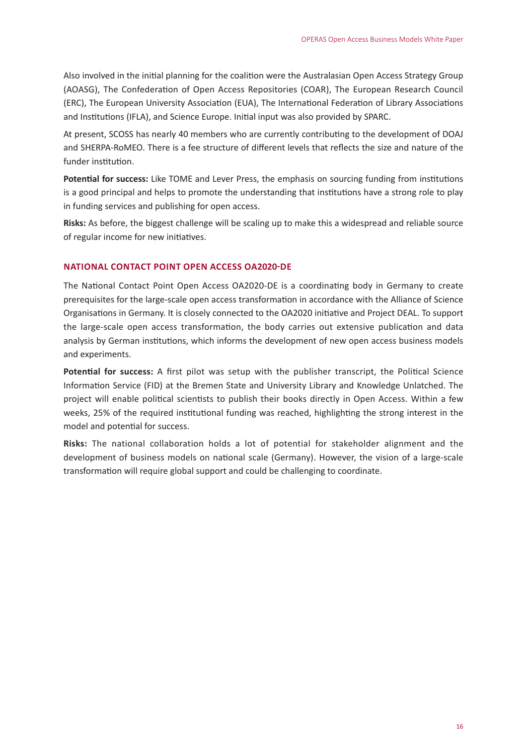<span id="page-17-0"></span>Also involved in the initial planning for the coalition were the Australasian Open Access Strategy Group (AOASG), The Confederation of Open Access Repositories (COAR), The European Research Council (ERC), The European University Association (EUA), The International Federation of Library Associations and Institutions (IFLA), and Science Europe. Initial input was also provided by SPARC.

At present, SCOSS has nearly 40 members who are currently contributing to the development of DOAJ and SHERPA-RoMEO. There is a fee structure of different levels that reflects the size and nature of the funder institution.

**Potential for success:** Like TOME and Lever Press, the emphasis on sourcing funding from institutions is a good principal and helps to promote the understanding that institutions have a strong role to play in funding services and publishing for open access.

**Risks:** As before, the biggest challenge will be scaling up to make this a widespread and reliable source of regular income for new initiatives.

#### **NATIONAL CONTACT POINT OPEN ACCESS OA2020-DE**

The National Contact Point Open Access OA2020-DE is a coordinating body in Germany to create prerequisites for the large-scale open access transformation in accordance with the Alliance of Science Organisations in Germany. It is closely connected to the OA2020 initiative and Project DEAL. To support the large-scale open access transformation, the body carries out extensive publication and data analysis by German institutions, which informs the development of new open access business models and experiments.

**Potential for success:** A first pilot was setup with the publisher transcript, the Political Science Information Service (FID) at the Bremen State and University Library and Knowledge Unlatched. The project will enable political scientists to publish their books directly in Open Access. Within a few weeks, 25% of the required institutional funding was reached, highlighting the strong interest in the model and potential for success.

**Risks:** The national collaboration holds a lot of potential for stakeholder alignment and the development of business models on national scale (Germany). However, the vision of a large-scale transformation will require global support and could be challenging to coordinate.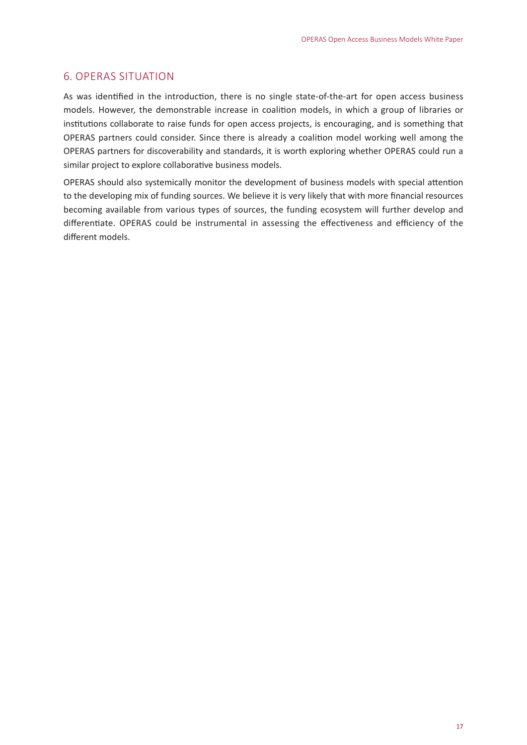#### <span id="page-18-0"></span>6. OPERAS SITUATION

As was identified in the introduction, there is no single state-of-the-art for open access business models. However, the demonstrable increase in coalition models, in which a group of libraries or institutions collaborate to raise funds for open access projects, is encouraging, and is something that OPERAS partners could consider. Since there is already a coalition model working well among the OPERAS partners for discoverability and standards, it is worth exploring whether OPERAS could run a similar project to explore collaborative business models.

OPERAS should also systemically monitor the development of business models with special attention to the developing mix of funding sources. We believe it is very likely that with more financial resources becoming available from various types of sources, the funding ecosystem will further develop and differentiate. OPERAS could be instrumental in assessing the effectiveness and efficiency of the different models.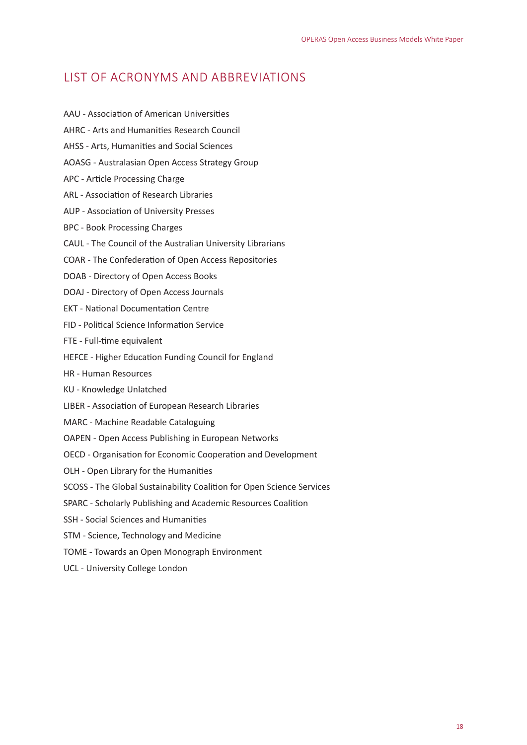## <span id="page-19-0"></span>LIST OF ACRONYMS AND ABBREVIATIONS

- AAU Association of American Universities
- AHRC Arts and Humanities Research Council
- AHSS Arts, Humanities and Social Sciences
- AOASG Australasian Open Access Strategy Group
- APC Article Processing Charge
- ARL Association of Research Libraries
- AUP Association of University Presses
- BPC Book Processing Charges
- CAUL The Council of the Australian University Librarians
- COAR The Confederation of Open Access Repositories
- DOAB Directory of Open Access Books
- DOAJ Directory of Open Access Journals
- EKT National Documentation Centre
- FID Political Science Information Service
- FTE Full-time equivalent
- HEFCE Higher Education Funding Council for England
- HR Human Resources
- KU Knowledge Unlatched
- LIBER Association of European Research Libraries
- MARC Machine Readable Cataloguing
- OAPEN Open Access Publishing in European Networks
- OECD Organisation for Economic Cooperation and Development
- OLH Open Library for the Humanities
- SCOSS The Global Sustainability Coalition for Open Science Services
- SPARC Scholarly Publishing and Academic Resources Coalition
- SSH Social Sciences and Humanities
- STM Science, Technology and Medicine
- TOME Towards an Open Monograph Environment
- UCL University College London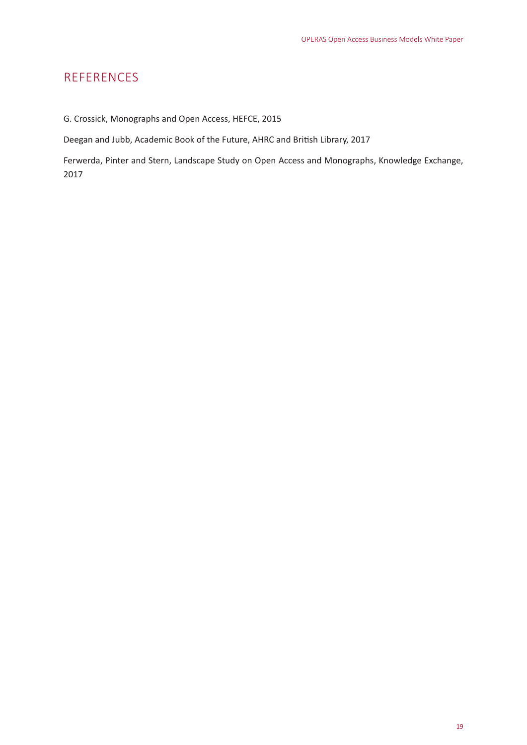# <span id="page-20-0"></span>REFERENCES

G. Crossick, Monographs and Open Access, HEFCE, 2015

Deegan and Jubb, Academic Book of the Future, AHRC and British Library, 2017

Ferwerda, Pinter and Stern, Landscape Study on Open Access and Monographs, Knowledge Exchange, 2017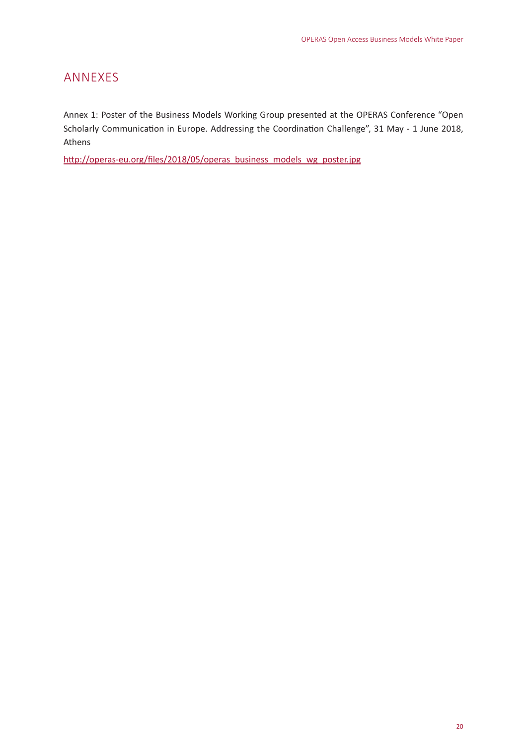# <span id="page-21-0"></span>ANNEXES

Annex 1: Poster of the Business Models Working Group presented at the OPERAS Conference "Open Scholarly Communication in Europe. Addressing the Coordination Challenge", 31 May - 1 June 2018, Athens

[http://operas-eu.org/files/2018/05/operas\\_business\\_models\\_wg\\_poster.jpg](http://operas.hypotheses.org/files/2018/05/operas_business_models_wg_poster.jpg)